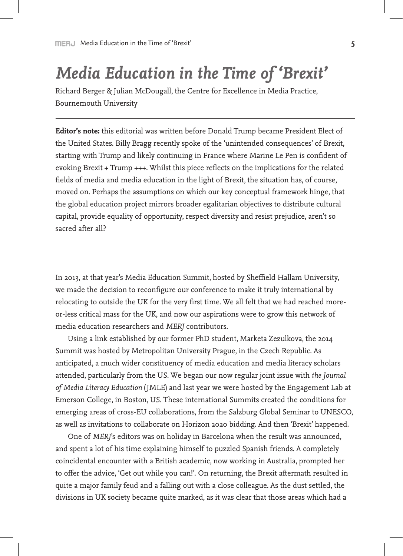## *Media Education in the Time of 'Brexit'*

Richard Berger & Julian McDougall, the Centre for Excellence in Media Practice, Bournemouth University

**Editor's note:** this editorial was written before Donald Trump became President Elect of the United States. Billy Bragg recently spoke of the 'unintended consequences' of Brexit, starting with Trump and likely continuing in France where Marine Le Pen is confident of evoking Brexit + Trump +++. Whilst this piece reflects on the implications for the related fields of media and media education in the light of Brexit, the situation has, of course, moved on. Perhaps the assumptions on which our key conceptual framework hinge, that the global education project mirrors broader egalitarian objectives to distribute cultural capital, provide equality of opportunity, respect diversity and resist prejudice, aren't so sacred after all?

In 2013, at that year's Media Education Summit, hosted by Sheffield Hallam University, we made the decision to reconfigure our conference to make it truly international by relocating to outside the UK for the very first time. We all felt that we had reached moreor-less critical mass for the UK, and now our aspirations were to grow this network of media education researchers and *MERJ* contributors.

Using a link established by our former PhD student, Marketa Zezulkova, the 2014 Summit was hosted by Metropolitan University Prague, in the Czech Republic. As anticipated, a much wider constituency of media education and media literacy scholars attended, particularly from the US. We began our now regular joint issue with *the Journal of Media Literacy Education* (JMLE) and last year we were hosted by the Engagement Lab at Emerson College, in Boston, US. These international Summits created the conditions for emerging areas of cross-EU collaborations, from the Salzburg Global Seminar to UNESCO, as well as invitations to collaborate on Horizon 2020 bidding. And then 'Brexit' happened.

One of *MERJ*'s editors was on holiday in Barcelona when the result was announced, and spent a lot of his time explaining himself to puzzled Spanish friends. A completely coincidental encounter with a British academic, now working in Australia, prompted her to offer the advice, 'Get out while you can!'. On returning, the Brexit aftermath resulted in quite a major family feud and a falling out with a close colleague. As the dust settled, the divisions in UK society became quite marked, as it was clear that those areas which had a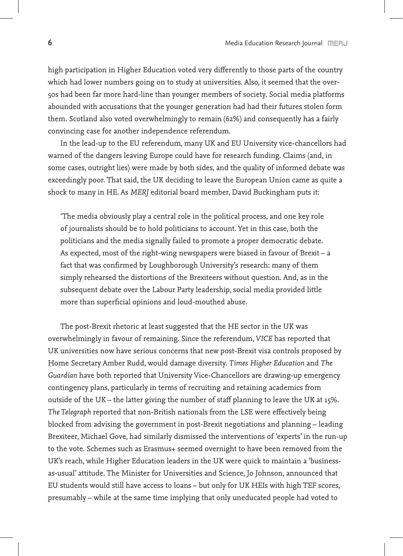high participation in Higher Education voted very differently to those parts of the country which had lower numbers going on to study at universities. Also, it seemed that the over-50s had been far more hard-line than younger members of society. Social media platforms abounded with accusations that the younger generation had had their futures stolen form them. Scotland also voted overwhelmingly to remain (62%) and consequently has a fairly convincing case for another independence referendum.

In the lead-up to the EU referendum, many UK and EU University vice-chancellors had warned of the dangers leaving Europe could have for research funding. Claims (and, in some cases, outright lies) were made by both sides, and the quality of informed debate was exceedingly poor. That said, the UK deciding to leave the European Union came as quite a shock to many in HE. As *MERJ* editorial board member, David Buckingham puts it:

'The media obviously play a central role in the political process, and one key role of journalists should be to hold politicians to account. Yet in this case, both the politicians and the media signally failed to promote a proper democratic debate. As expected, most of the right-wing newspapers were biased in favour of Brexit – a fact that was confirmed by Loughborough University's research: many of them simply rehearsed the distortions of the Brexiteers without question. And, as in the subsequent debate over the Labour Party leadership, social media provided little more than superficial opinions and loud-mouthed abuse.

The post-Brexit rhetoric at least suggested that the HE sector in the UK was overwhelmingly in favour of remaining. Since the referendum, *VICE* has reported that UK universities now have serious concerns that new post-Brexit visa controls proposed by Home Secretary Amber Rudd, would damage diversity. *Times Higher Education* and *The Guardian* have both reported that University Vice-Chancellors are drawing-up emergency contingency plans, particularly in terms of recruiting and retaining academics from outside of the UK – the latter giving the number of staff planning to leave the UK at 15%. *The Telegraph* reported that non-British nationals from the LSE were effectively being blocked from advising the government in post-Brexit negotiations and planning – leading Brexiteer, Michael Gove, had similarly dismissed the interventions of 'experts' in the run-up to the vote. Schemes such as Erasmus+ seemed overnight to have been removed from the UK's reach, while Higher Education leaders in the UK were quick to maintain a 'businessas-usual' attitude. The Minister for Universities and Science, Jo Johnson, announced that EU students would still have access to loans – but only for UK HEIs with high TEF scores, presumably – while at the same time implying that only uneducated people had voted to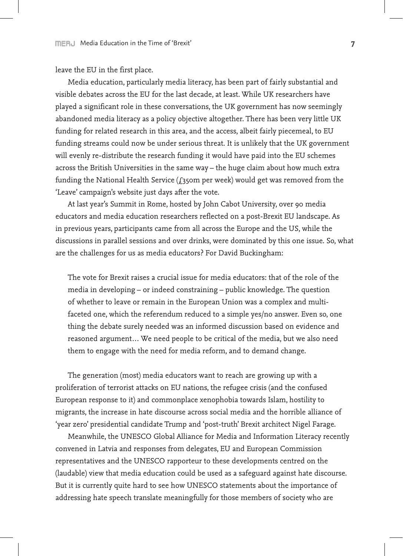leave the EU in the first place.

Media education, particularly media literacy, has been part of fairly substantial and visible debates across the EU for the last decade, at least. While UK researchers have played a significant role in these conversations, the UK government has now seemingly abandoned media literacy as a policy objective altogether. There has been very little UK funding for related research in this area, and the access, albeit fairly piecemeal, to EU funding streams could now be under serious threat. It is unlikely that the UK government will evenly re-distribute the research funding it would have paid into the EU schemes across the British Universities in the same way – the huge claim about how much extra funding the National Health Service  $(f_3$ 50m per week) would get was removed from the 'Leave' campaign's website just days after the vote.

At last year's Summit in Rome, hosted by John Cabot University, over 90 media educators and media education researchers reflected on a post-Brexit EU landscape. As in previous years, participants came from all across the Europe and the US, while the discussions in parallel sessions and over drinks, were dominated by this one issue. So, what are the challenges for us as media educators? For David Buckingham:

The vote for Brexit raises a crucial issue for media educators: that of the role of the media in developing – or indeed constraining – public knowledge. The question of whether to leave or remain in the European Union was a complex and multifaceted one, which the referendum reduced to a simple yes/no answer. Even so, one thing the debate surely needed was an informed discussion based on evidence and reasoned argument… We need people to be critical of the media, but we also need them to engage with the need for media reform, and to demand change.

The generation (most) media educators want to reach are growing up with a proliferation of terrorist attacks on EU nations, the refugee crisis (and the confused European response to it) and commonplace xenophobia towards Islam, hostility to migrants, the increase in hate discourse across social media and the horrible alliance of 'year zero' presidential candidate Trump and 'post-truth' Brexit architect Nigel Farage.

Meanwhile, the UNESCO Global Alliance for Media and Information Literacy recently convened in Latvia and responses from delegates, EU and European Commission representatives and the UNESCO rapporteur to these developments centred on the (laudable) view that media education could be used as a safeguard against hate discourse. But it is currently quite hard to see how UNESCO statements about the importance of addressing hate speech translate meaningfully for those members of society who are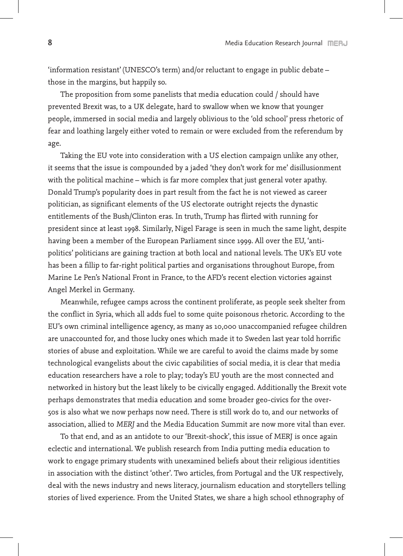'information resistant' (UNESCO's term) and/or reluctant to engage in public debate – those in the margins, but happily so.

The proposition from some panelists that media education could / should have prevented Brexit was, to a UK delegate, hard to swallow when we know that younger people, immersed in social media and largely oblivious to the 'old school' press rhetoric of fear and loathing largely either voted to remain or were excluded from the referendum by age.

Taking the EU vote into consideration with a US election campaign unlike any other, it seems that the issue is compounded by a jaded 'they don't work for me' disillusionment with the political machine – which is far more complex that just general voter apathy. Donald Trump's popularity does in part result from the fact he is not viewed as career politician, as significant elements of the US electorate outright rejects the dynastic entitlements of the Bush/Clinton eras. In truth, Trump has flirted with running for president since at least 1998. Similarly, Nigel Farage is seen in much the same light, despite having been a member of the European Parliament since 1999. All over the EU, 'antipolitics' politicians are gaining traction at both local and national levels. The UK's EU vote has been a fillip to far-right political parties and organisations throughout Europe, from Marine Le Pen's National Front in France, to the AFD's recent election victories against Angel Merkel in Germany.

Meanwhile, refugee camps across the continent proliferate, as people seek shelter from the conflict in Syria, which all adds fuel to some quite poisonous rhetoric. According to the EU's own criminal intelligence agency, as many as 10,000 unaccompanied refugee children are unaccounted for, and those lucky ones which made it to Sweden last year told horrific stories of abuse and exploitation. While we are careful to avoid the claims made by some technological evangelists about the civic capabilities of social media, it is clear that media education researchers have a role to play; today's EU youth are the most connected and networked in history but the least likely to be civically engaged. Additionally the Brexit vote perhaps demonstrates that media education and some broader geo-civics for the over-50s is also what we now perhaps now need. There is still work do to, and our networks of association, allied to *MERJ* and the Media Education Summit are now more vital than ever.

To that end, and as an antidote to our 'Brexit-shock', this issue of MERJ is once again eclectic and international. We publish research from India putting media education to work to engage primary students with unexamined beliefs about their religious identities in association with the distinct 'other'. Two articles, from Portugal and the UK respectively, deal with the news industry and news literacy, journalism education and storytellers telling stories of lived experience. From the United States, we share a high school ethnography of